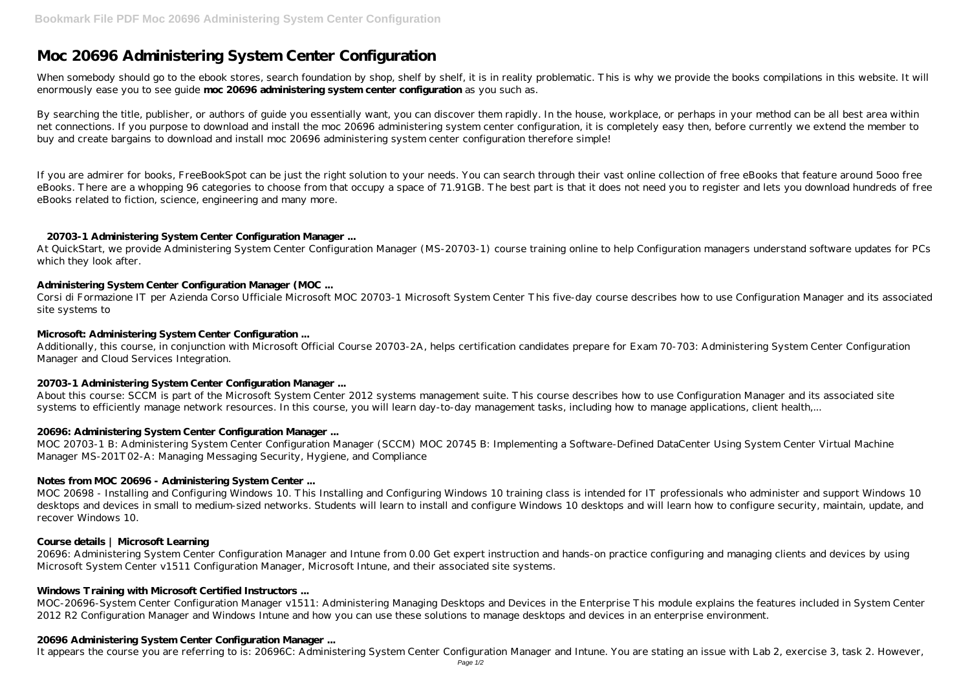# **Moc 20696 Administering System Center Configuration**

When somebody should go to the ebook stores, search foundation by shop, shelf by shelf, it is in reality problematic. This is why we provide the books compilations in this website. It will enormously ease you to see guide **moc 20696 administering system center configuration** as you such as.

By searching the title, publisher, or authors of guide you essentially want, you can discover them rapidly. In the house, workplace, or perhaps in your method can be all best area within net connections. If you purpose to download and install the moc 20696 administering system center configuration, it is completely easy then, before currently we extend the member to buy and create bargains to download and install moc 20696 administering system center configuration therefore simple!

About this course: SCCM is part of the Microsoft System Center 2012 systems management suite. This course describes how to use Configuration Manager and its associated site systems to efficiently manage network resources. In this course, you will learn day-to-day management tasks, including how to manage applications, client health,...

If you are admirer for books, FreeBookSpot can be just the right solution to your needs. You can search through their vast online collection of free eBooks that feature around 5ooo free eBooks. There are a whopping 96 categories to choose from that occupy a space of 71.91GB. The best part is that it does not need you to register and lets you download hundreds of free eBooks related to fiction, science, engineering and many more.

## **20703-1 Administering System Center Configuration Manager ...**

At QuickStart, we provide Administering System Center Configuration Manager (MS-20703-1) course training online to help Configuration managers understand software updates for PCs which they look after.

## **Administering System Center Configuration Manager (MOC ...**

Corsi di Formazione IT per Azienda Corso Ufficiale Microsoft MOC 20703-1 Microsoft System Center This five-day course describes how to use Configuration Manager and its associated site systems to

## **Microsoft: Administering System Center Configuration ...**

Additionally, this course, in conjunction with Microsoft Official Course 20703-2A, helps certification candidates prepare for Exam 70-703: Administering System Center Configuration Manager and Cloud Services Integration.

## **20703-1 Administering System Center Configuration Manager ...**

## **20696: Administering System Center Configuration Manager ...**

MOC 20703-1 B: Administering System Center Configuration Manager (SCCM) MOC 20745 B: Implementing a Software-Defined DataCenter Using System Center Virtual Machine Manager MS-201T02-A: Managing Messaging Security, Hygiene, and Compliance

## **Notes from MOC 20696 - Administering System Center ...**

MOC 20698 - Installing and Configuring Windows 10. This Installing and Configuring Windows 10 training class is intended for IT professionals who administer and support Windows 10 desktops and devices in small to medium-sized networks. Students will learn to install and configure Windows 10 desktops and will learn how to configure security, maintain, update, and recover Windows 10.

## **Course details | Microsoft Learning**

20696: Administering System Center Configuration Manager and Intune from 0.00 Get expert instruction and hands-on practice configuring and managing clients and devices by using Microsoft System Center v1511 Configuration Manager, Microsoft Intune, and their associated site systems.

## **Windows Training with Microsoft Certified Instructors ...**

MOC-20696-System Center Configuration Manager v1511: Administering Managing Desktops and Devices in the Enterprise This module explains the features included in System Center 2012 R2 Configuration Manager and Windows Intune and how you can use these solutions to manage desktops and devices in an enterprise environment.

## **20696 Administering System Center Configuration Manager ...**

It appears the course you are referring to is: 20696C: Administering System Center Configuration Manager and Intune. You are stating an issue with Lab 2, exercise 3, task 2. However,